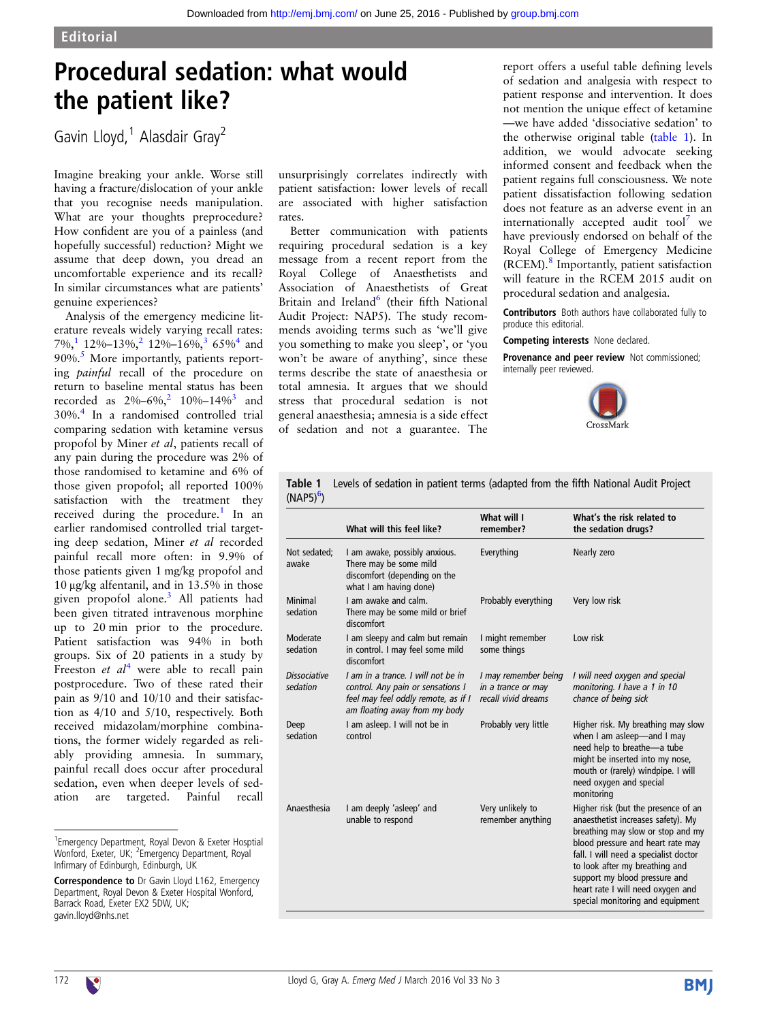## Procedural sedation: what would the patient like?

Gavin Lloyd,<sup>1</sup> Alasdair Gray<sup>2</sup>

Imagine breaking your ankle. Worse still having a fracture/dislocation of your ankle that you recognise needs manipulation. What are your thoughts preprocedure? How confident are you of a painless (and hopefully successful) reduction? Might we assume that deep down, you dread an uncomfortable experience and its recall? In similar circumstances what are patients' genuine experiences?

Analysis of the emergency medicine literature reveals widely varying recall rates: 7%,<sup>1</sup> 1[2](#page-1-0)%–1[3](#page-1-0)%,<sup>2</sup> 12%–16%,<sup>3</sup> 65%<sup>4</sup> and 90%.<sup>5</sup> More importantly, patients reporting painful recall of the procedure on return to baseline mental status has been recorded as  $2\%-6\%$  $2\%-6\%$ ,  $2\sqrt{10}\%-14\%$  and 30%[.4](#page-1-0) In a randomised controlled trial comparing sedation with ketamine versus propofol by Miner et al, patients recall of any pain during the procedure was 2% of those randomised to ketamine and 6% of those given propofol; all reported 100% satisfaction with the treatment they received during the procedure.<sup>[1](#page-1-0)</sup> In an earlier randomised controlled trial targeting deep sedation, Miner et al recorded painful recall more often: in 9.9% of those patients given 1 mg/kg propofol and 10 μg/kg alfentanil, and in 13.5% in those given propofol alone.[3](#page-1-0) All patients had been given titrated intravenous morphine up to 20 min prior to the procedure. Patient satisfaction was 94% in both groups. Six of 20 patients in a study by Freeston *et al*<sup>[4](#page-1-0)</sup> were able to recall pain postprocedure. Two of these rated their pain as 9/10 and 10/10 and their satisfaction as 4/10 and 5/10, respectively. Both received midazolam/morphine combinations, the former widely regarded as reliably providing amnesia. In summary, painful recall does occur after procedural sedation, even when deeper levels of sedation are targeted. Painful recall unsurprisingly correlates indirectly with patient satisfaction: lower levels of recall are associated with higher satisfaction rates.

Better communication with patients requiring procedural sedation is a key message from a recent report from the Royal College of Anaesthetists and Association of Anaesthetists of Great Britain and Ireland<sup>6</sup> (their fifth National Audit Project: NAP5). The study recommends avoiding terms such as 'we'll give you something to make you sleep', or 'you won't be aware of anything', since these terms describe the state of anaesthesia or total amnesia. It argues that we should stress that procedural sedation is not general anaesthesia; amnesia is a side effect of sedation and not a guarantee. The

report offers a useful table defining levels of sedation and analgesia with respect to patient response and intervention. It does not mention the unique effect of ketamine —we have added 'dissociative sedation' to the otherwise original table (table 1). In addition, we would advocate seeking informed consent and feedback when the patient regains full consciousness. We note patient dissatisfaction following sedation does not feature as an adverse event in an internationally accepted audit tool $<sup>7</sup>$  $<sup>7</sup>$  $<sup>7</sup>$  we</sup> have previously endorsed on behalf of the Royal College of Emergency Medicine (RCEM).[8](#page-1-0) Importantly, patient satisfaction will feature in the RCEM 2015 audit on procedural sedation and analgesia.

Contributors Both authors have collaborated fully to produce this editorial.

Competing interests None declared.

Provenance and peer review Not commissioned: internally peer reviewed.



Table 1 Levels of sedation in patient terms (adapted from the fifth National Audit Project (NAP5)<sup>[6](#page-1-0)</sup>)

|                                 | What will this feel like?                                                                                                                       | What will I<br>remember?                                          | What's the risk related to<br>the sedation drugs?                                                                                                                                                                                                                                                                                        |
|---------------------------------|-------------------------------------------------------------------------------------------------------------------------------------------------|-------------------------------------------------------------------|------------------------------------------------------------------------------------------------------------------------------------------------------------------------------------------------------------------------------------------------------------------------------------------------------------------------------------------|
| Not sedated:<br>awake           | I am awake, possibly anxious.<br>There may be some mild<br>discomfort (depending on the<br>what I am having done)                               | Everything                                                        | Nearly zero                                                                                                                                                                                                                                                                                                                              |
| Minimal<br>sedation             | I am awake and calm.<br>There may be some mild or brief<br>discomfort                                                                           | Probably everything                                               | Very low risk                                                                                                                                                                                                                                                                                                                            |
| Moderate<br>sedation            | I am sleepy and calm but remain<br>in control. I may feel some mild<br>discomfort                                                               | I might remember<br>some things                                   | Low risk                                                                                                                                                                                                                                                                                                                                 |
| <b>Dissociative</b><br>sedation | I am in a trance. I will not be in<br>control. Any pain or sensations I<br>feel may feel oddly remote, as if I<br>am floating away from my body | I may remember being<br>in a trance or may<br>recall vivid dreams | I will need oxygen and special<br>monitoring. I have a 1 in 10<br>chance of being sick                                                                                                                                                                                                                                                   |
| Deep<br>sedation                | I am asleep. I will not be in<br>control                                                                                                        | Probably very little                                              | Higher risk. My breathing may slow<br>when I am asleep-and I may<br>need help to breathe-a tube<br>might be inserted into my nose,<br>mouth or (rarely) windpipe. I will<br>need oxygen and special<br>monitoring                                                                                                                        |
| Anaesthesia                     | I am deeply 'asleep' and<br>unable to respond                                                                                                   | Very unlikely to<br>remember anything                             | Higher risk (but the presence of an<br>anaesthetist increases safety). My<br>breathing may slow or stop and my<br>blood pressure and heart rate may<br>fall. I will need a specialist doctor<br>to look after my breathing and<br>support my blood pressure and<br>heart rate I will need oxygen and<br>special monitoring and equipment |

<sup>&</sup>lt;sup>1</sup> Emergency Department, Royal Devon & Exeter Hosptial Wonford, Exeter, UK; <sup>2</sup>Emergency Department, Royal Infirmary of Edinburgh, Edinburgh, UK

Correspondence to Dr Gavin Lloyd L162, Emergency Department, Royal Devon & Exeter Hospital Wonford, Barrack Road, Exeter EX2 5DW, UK; gavin.lloyd@nhs.net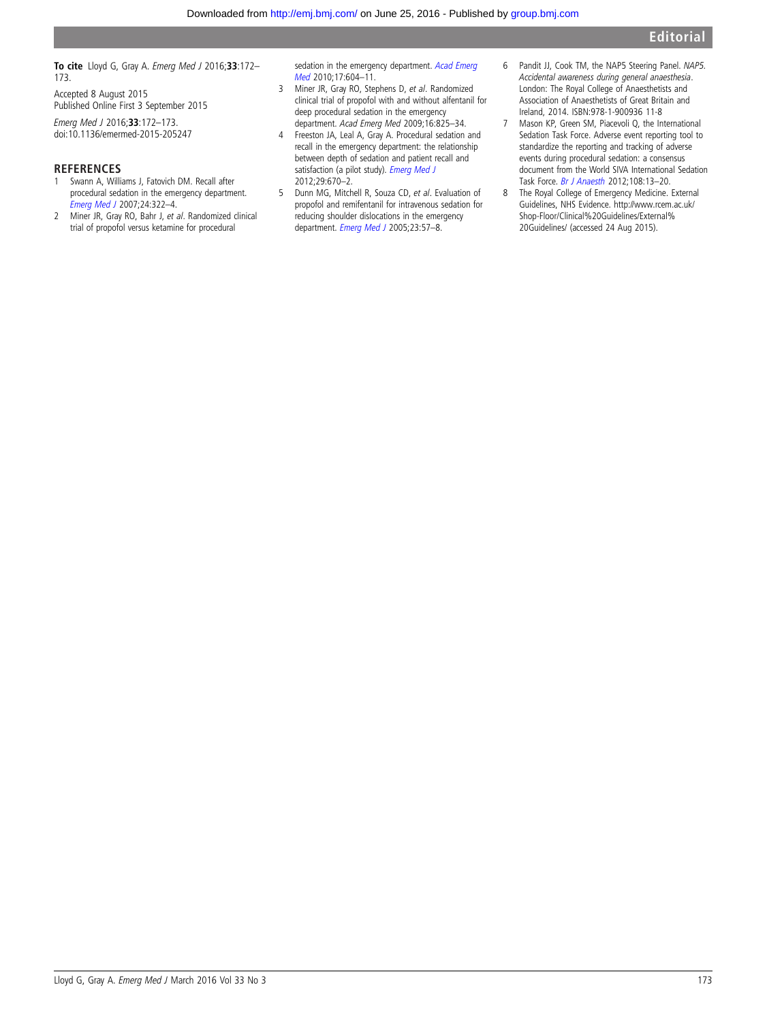<span id="page-1-0"></span>To cite Lloyd G, Gray A. Emerg Med J 2016;33:172-173.

Accepted 8 August 2015 Published Online First 3 September 2015

Emerg Med J 2016;33:172–173. doi:10.1136/emermed-2015-205247

## **REFERENCES**

- 1 Swann A, Williams J, Fatovich DM. Recall after procedural sedation in the emergency department. [Emerg Med J](http://dx.doi.org/10.1136/emj.2006.040923) 2007;24:322–4.
- 2 Miner JR, Gray RO, Bahr J, et al. Randomized clinical trial of propofol versus ketamine for procedural

sedation in the emergency department. [Acad Emerg](http://dx.doi.org/10.1111/j.1553-2712.2010.00776.x) [Med](http://dx.doi.org/10.1111/j.1553-2712.2010.00776.x) 2010;17:604–11.

- 3 Miner JR, Gray RO, Stephens D, et al. Randomized clinical trial of propofol with and without alfentanil for deep procedural sedation in the emergency department. Acad Emerg Med 2009;16:825–34.
- 4 Freeston JA, Leal A, Gray A. Procedural sedation and recall in the emergency department: the relationship between depth of sedation and patient recall and satisfaction (a pilot study). [Emerg Med J](http://dx.doi.org/10.1136/emj.2010.092916) 2012;29:670–2.
- 5 Dunn MG, Mitchell R, Souza CD, et al. Evaluation of propofol and remifentanil for intravenous sedation for reducing shoulder dislocations in the emergency department. [Emerg Med J](http://dx.doi.org/10.1136/emj.2004.021410) 2005;23:57-8.
- 6 Pandit JJ, Cook TM, the NAP5 Steering Panel. NAP5. Accidental awareness during general anaesthesia. London: The Royal College of Anaesthetists and Association of Anaesthetists of Great Britain and Ireland, 2014. ISBN:978-1-900936 11-8
- 7 Mason KP, Green SM, Piacevoli Q, the International Sedation Task Force. Adverse event reporting tool to standardize the reporting and tracking of adverse events during procedural sedation: a consensus document from the World SIVA International Sedation Task Force. [Br J Anaesth](http://dx.doi.org/10.1093/bja/aer407) 2012;108:13–20.
- 8 The Royal College of Emergency Medicine. External Guidelines, NHS Evidence. [http://www.rcem.ac.uk/](http://www.rcem.ac.uk/Shop-Floor/Clinical%20Guidelines/External%20Guidelines/) [Shop-Floor/Clinical%20Guidelines/External%](http://www.rcem.ac.uk/Shop-Floor/Clinical%20Guidelines/External%20Guidelines/) [20Guidelines/](http://www.rcem.ac.uk/Shop-Floor/Clinical%20Guidelines/External%20Guidelines/) (accessed 24 Aug 2015).